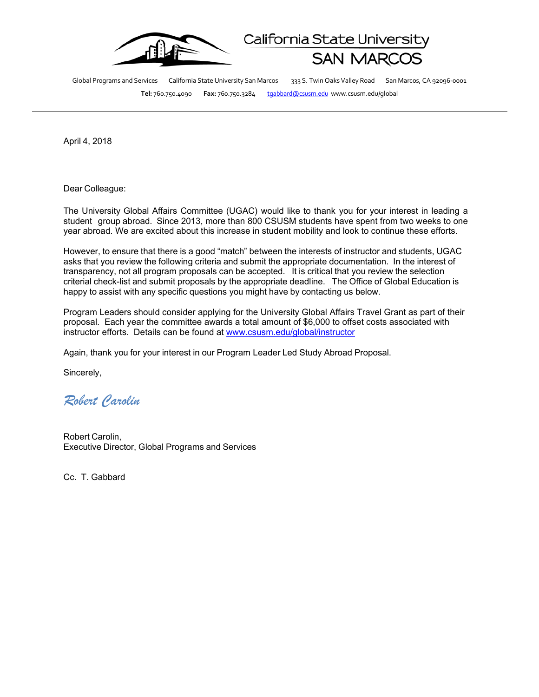

California State University



Global Programs and Services California State University San Marcos 333 S. Twin Oaks Valley Road San Marcos, CA 92096-0001 **Tel:** 760.750.4090 **Fax:** 760.750.3284 tgabbard@csusm.edu www.csusm.edu/global

April 4, 2018

Dear Colleague:

The University Global Affairs Committee (UGAC) would like to thank you for your interest in leading a student group abroad. Since 2013, more than 800 CSUSM students have spent from two weeks to one year abroad. We are excited about this increase in student mobility and look to continue these efforts.

However, to ensure that there is a good "match" between the interests of instructor and students, UGAC asks that you review the following criteria and submit the appropriate documentation. In the interest of transparency, not all program proposals can be accepted. It is critical that you review the selection criterial check-list and submit proposals by the appropriate deadline. The Office of Global Education is happy to assist with any specific questions you might have by contacting us below.

Program Leaders should consider applying for the University Global Affairs Travel Grant as part of their proposal. Each year the committee awards a total amount of \$6,000 to offset costs associated with instructor efforts. Details can be found at www.csusm.edu/global/instructor

Again, thank you for your interest in our Program Leader Led Study Abroad Proposal.

Sincerely,

*Robert Carolin*

Robert Carolin, Executive Director, Global Programs and Services

Cc. T. Gabbard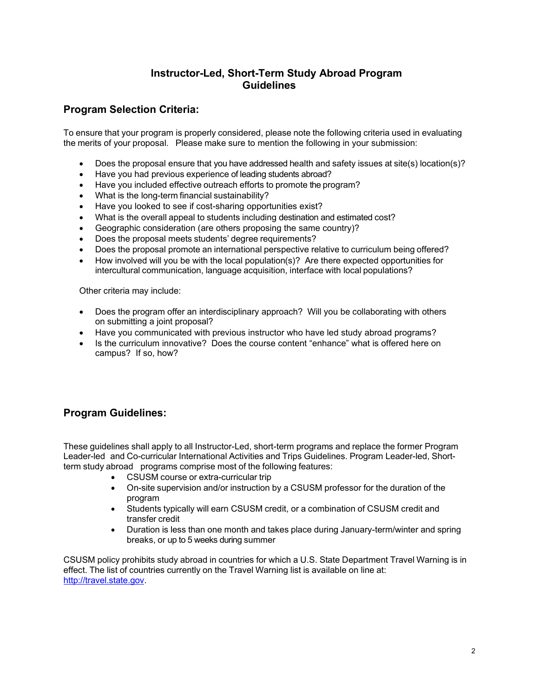# **Instructor-Led, Short-Term Study Abroad Program Guidelines**

# **Program Selection Criteria:**

To ensure that your program is properly considered, please note the following criteria used in evaluating the merits of your proposal. Please make sure to mention the following in your submission:

- Does the proposal ensure that you have addressed health and safety issues at site(s) location(s)?
- Have you had previous experience of leading students abroad?
- Have you included effective outreach efforts to promote the program?
- What is the long-term financial sustainability?
- Have you looked to see if cost-sharing opportunities exist?
- What is the overall appeal to students including destination and estimated cost?
- Geographic consideration (are others proposing the same country)?
- Does the proposal meets students' degree requirements?
- Does the proposal promote an international perspective relative to curriculum being offered?
- How involved will you be with the local population(s)? Are there expected opportunities for intercultural communication, language acquisition, interface with local populations?

Other criteria may include:

- Does the program offer an interdisciplinary approach? Will you be collaborating with others on submitting a joint proposal?
- Have you communicated with previous instructor who have led study abroad programs?
- Is the curriculum innovative? Does the course content "enhance" what is offered here on campus? If so, how?

# **Program Guidelines:**

These guidelines shall apply to all Instructor-Led, short-term programs and replace the former Program Leader-led and Co-curricular International Activities and Trips Guidelines. Program Leader-led, Shortterm study abroad programs comprise most of the following features:

- CSUSM course or extra-curricular trip
- On-site supervision and/or instruction by a CSUSM professor for the duration of the program
- Students typically will earn CSUSM credit, or a combination of CSUSM credit and transfer credit
- Duration is less than one month and takes place during January-term/winter and spring breaks, or up to 5 weeks during summer

CSUSM policy prohibits study abroad in countries for which a U.S. State Department Travel Warning is in effect. The list of countries currently on the Travel Warning list is available on line at: http://travel.state.gov.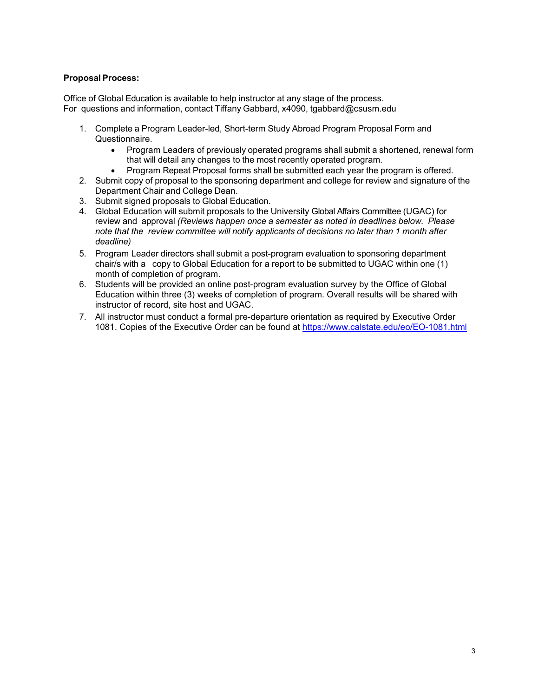## **Proposal Process:**

Office of Global Education is available to help instructor at any stage of the process. For questions and information, contact Tiffany Gabbard, x4090, tgabbard@csusm.edu

- 1. Complete a Program Leader-led, Short-term Study Abroad Program Proposal Form and Questionnaire.
	- Program Leaders of previously operated programs shall submit a shortened, renewal form that will detail any changes to the most recently operated program.
	- Program Repeat Proposal forms shall be submitted each year the program is offered.
- 2. Submit copy of proposal to the sponsoring department and college for review and signature of the Department Chair and College Dean.
- 3. Submit signed proposals to Global Education.
- 4. Global Education will submit proposals to the University Global Affairs Committee (UGAC) for review and approval *(Reviews happen once a semester as noted in deadlines below. Please note that the review committee will notify applicants of decisions no later than 1 month after deadline)*
- 5. Program Leader directors shall submit a post-program evaluation to sponsoring department chair/s with a copy to Global Education for a report to be submitted to UGAC within one (1) month of completion of program.
- 6. Students will be provided an online post-program evaluation survey by the Office of Global Education within three (3) weeks of completion of program. Overall results will be shared with instructor of record, site host and UGAC.
- 7. All instructor must conduct a formal pre-departure orientation as required by Executive Order 1081. Copies of the Executive Order can be found at https://www.calstate.edu/eo/EO-1081.html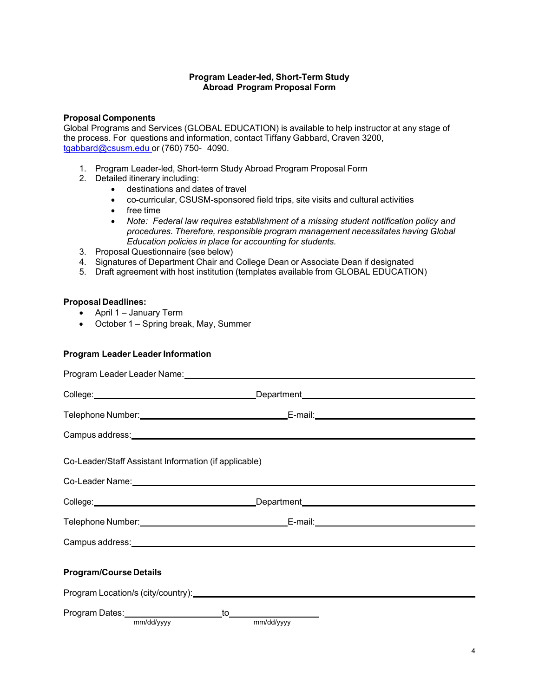### **Program Leader-led, Short-Term Study Abroad Program Proposal Form**

### **Proposal Components**

Global Programs and Services (GLOBAL EDUCATION) is available to help instructor at any stage of the process. For questions and information, contact Tiffany Gabbard, Craven 3200, tgabbard@csusm.edu or (760) 750- 4090.

- 1. Program Leader-led, Short-term Study Abroad Program Proposal Form
- 2. Detailed itinerary including:
	- destinations and dates of travel
	- co-curricular, CSUSM-sponsored field trips, site visits and cultural activities
	- free time
	- *Note: Federal law requires establishment of a missing student notification policy and procedures. Therefore, responsible program management necessitates having Global Education policies in place for accounting for students.*
- 3. Proposal Questionnaire (see below)
- 4. Signatures of Department Chair and College Dean or Associate Dean if designated
- 5. Draft agreement with host institution (templates available from GLOBAL EDUCATION)

#### **Proposal Deadlines:**

- April 1 January Term
- October 1 Spring break, May, Summer

#### **Program Leader Leader Information**

|                                                                                                                                                                                                                                                                                         | Campus address: example and the set of the set of the set of the set of the set of the set of the set of the set of the set of the set of the set of the set of the set of the set of the set of the set of the set of the set |  |
|-----------------------------------------------------------------------------------------------------------------------------------------------------------------------------------------------------------------------------------------------------------------------------------------|--------------------------------------------------------------------------------------------------------------------------------------------------------------------------------------------------------------------------------|--|
| Co-Leader/Staff Assistant Information (if applicable)<br>Co-Leader Name: Name: Name: Name: Name: Name: Name: Name: Name: Name: Name: Name: Name: Name: Name: Name: Name: Name: Name: Name: Name: Name: Name: Name: Name: Name: Name: Name: Name: Name: Name: Name: Name: Name: Name: Na |                                                                                                                                                                                                                                |  |
|                                                                                                                                                                                                                                                                                         |                                                                                                                                                                                                                                |  |
|                                                                                                                                                                                                                                                                                         |                                                                                                                                                                                                                                |  |
|                                                                                                                                                                                                                                                                                         |                                                                                                                                                                                                                                |  |
| <b>Program/Course Details</b>                                                                                                                                                                                                                                                           |                                                                                                                                                                                                                                |  |
|                                                                                                                                                                                                                                                                                         |                                                                                                                                                                                                                                |  |
|                                                                                                                                                                                                                                                                                         |                                                                                                                                                                                                                                |  |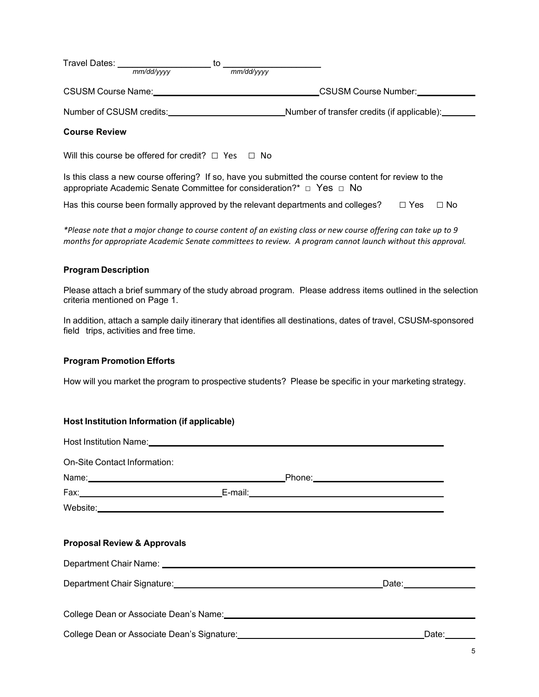Travel Dates: \_\_\_\_\_\_\_\_\_\_\_\_\_\_\_\_\_\_\_ to \_\_\_\_\_\_\_\_\_\_\_\_\_\_\_\_\_\_\_\_ *mm/dd/yyyy mm/dd/yyyy*

CSUSM Course Name: CSUSM Course Number:

Number of CSUSM credits: Number of transfer credits (if applicable):

## **Course Review**

Will this course be offered for credit? □ Yes □ No

Is this class a new course offering? If so, have you submitted the course content for review to the appropriate Academic Senate Committee for consideration?\* □ Yes □ No

Has this course been formally approved by the relevant departments and colleges? **□** Yes **□** No

*\*Please note that a major change to course content of an existing class or new course offering can take up to 9 months for appropriate Academic Senate committees to review. A program cannot launch without this approval.*

## **Program Description**

Please attach a brief summary of the study abroad program. Please address items outlined in the selection criteria mentioned on Page 1.

In addition, attach a sample daily itinerary that identifies all destinations, dates of travel, CSUSM-sponsored field trips, activities and free time.

## **Program Promotion Efforts**

How will you market the program to prospective students? Please be specific in your marketing strategy.

## **Host Institution Information (if applicable)**

| Host Institution Name: Name and American Control of the American Control of the American Control of the American Control of the American Control of the American Control of the American Control of the American Control of th |  |             |  |                         |
|--------------------------------------------------------------------------------------------------------------------------------------------------------------------------------------------------------------------------------|--|-------------|--|-------------------------|
| On-Site Contact Information:                                                                                                                                                                                                   |  |             |  |                         |
|                                                                                                                                                                                                                                |  |             |  |                         |
|                                                                                                                                                                                                                                |  |             |  |                         |
|                                                                                                                                                                                                                                |  |             |  |                         |
|                                                                                                                                                                                                                                |  |             |  |                         |
| <b>Proposal Review &amp; Approvals</b>                                                                                                                                                                                         |  |             |  |                         |
| Department Chair Name: University of the Chair Name of the Chair Alexander Chair Chair Chair Chair Chair Chair                                                                                                                 |  |             |  |                         |
| Department Chair Signature:<br><u>Department Chair Signature:</u>                                                                                                                                                              |  |             |  | _Date:_________________ |
|                                                                                                                                                                                                                                |  |             |  |                         |
|                                                                                                                                                                                                                                |  |             |  |                         |
| College Dean or Associate Dean's Signature:<br>College Dean or Associate Dean's Signature:                                                                                                                                     |  | Date:______ |  |                         |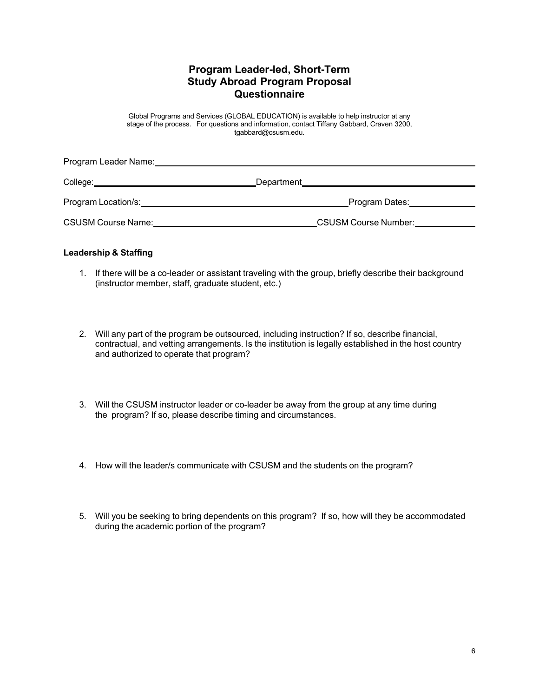# **Program Leader-led, Short-Term Study Abroad Program Proposal Questionnaire**

Global Programs and Services (GLOBAL EDUCATION) is available to help instructor at any stage of the process. For questions and information, contact Tiffany Gabbard, Craven 3200, tgabbard@csusm.edu.

| Program Leader Name: 1980 1991                                                                                                                                                                                                 |                                                                                                                                                                                                                                |
|--------------------------------------------------------------------------------------------------------------------------------------------------------------------------------------------------------------------------------|--------------------------------------------------------------------------------------------------------------------------------------------------------------------------------------------------------------------------------|
|                                                                                                                                                                                                                                |                                                                                                                                                                                                                                |
| Program Location/s: University of the Contract of the Contract of the Contract of the Contract of the Contract of the Contract of the Contract of the Contract of the Contract of the Contract of the Contract of the Contract | Program Dates: The Contract of the Contract of the Contract of the Contract of the Contract of the Contract of the Contract of the Contract of the Contract of the Contract of the Contract of the Contract of the Contract of |
| CSUSM Course Name: 1980 1991 1992 1994                                                                                                                                                                                         | CSUSM Course Number: CSUSM Course Number:                                                                                                                                                                                      |

#### **Leadership & Staffing**

- 1. If there will be a co-leader or assistant traveling with the group, briefly describe their background (instructor member, staff, graduate student, etc.)
- 2. Will any part of the program be outsourced, including instruction? If so, describe financial, contractual, and vetting arrangements. Is the institution is legally established in the host country and authorized to operate that program?
- 3. Will the CSUSM instructor leader or co-leader be away from the group at any time during the program? If so, please describe timing and circumstances.
- 4. How will the leader/s communicate with CSUSM and the students on the program?
- 5. Will you be seeking to bring dependents on this program? If so, how will they be accommodated during the academic portion of the program?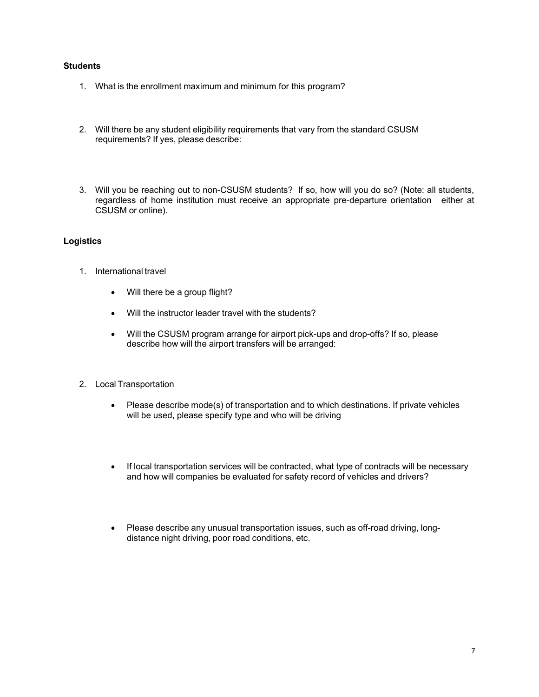### **Students**

- 1. What is the enrollment maximum and minimum for this program?
- 2. Will there be any student eligibility requirements that vary from the standard CSUSM requirements? If yes, please describe:
- 3. Will you be reaching out to non-CSUSM students? If so, how will you do so? (Note: all students, regardless of home institution must receive an appropriate pre-departure orientation either at CSUSM or online).

## **Logistics**

- 1. International travel
	- Will there be a group flight?
	- Will the instructor leader travel with the students?
	- Will the CSUSM program arrange for airport pick-ups and drop-offs? If so, please describe how will the airport transfers will be arranged:
- 2. Local Transportation
	- Please describe mode(s) of transportation and to which destinations. If private vehicles will be used, please specify type and who will be driving
	- If local transportation services will be contracted, what type of contracts will be necessary and how will companies be evaluated for safety record of vehicles and drivers?
	- Please describe any unusual transportation issues, such as off-road driving, longdistance night driving, poor road conditions, etc.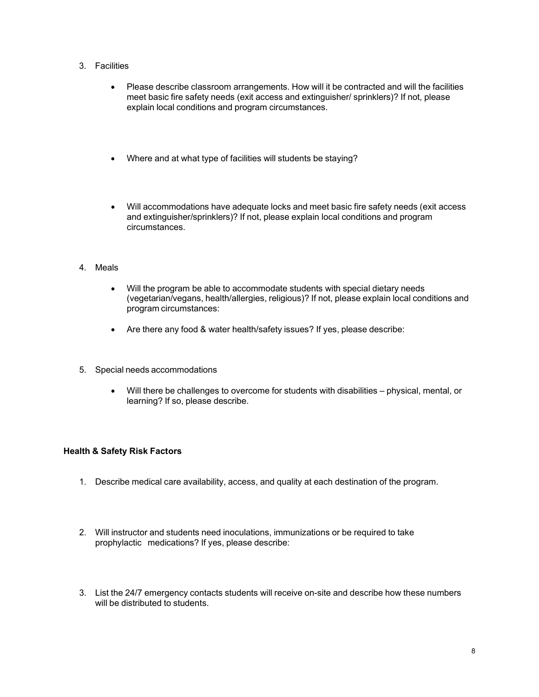- 3. Facilities
	- Please describe classroom arrangements. How will it be contracted and will the facilities meet basic fire safety needs (exit access and extinguisher/ sprinklers)? If not, please explain local conditions and program circumstances.
	- Where and at what type of facilities will students be staying?
	- Will accommodations have adequate locks and meet basic fire safety needs (exit access and extinguisher/sprinklers)? If not, please explain local conditions and program circumstances.

#### 4. Meals

- Will the program be able to accommodate students with special dietary needs (vegetarian/vegans, health/allergies, religious)? If not, please explain local conditions and program circumstances:
- Are there any food & water health/safety issues? If yes, please describe:
- 5. Special needs accommodations
	- Will there be challenges to overcome for students with disabilities physical, mental, or learning? If so, please describe.

#### **Health & Safety Risk Factors**

- 1. Describe medical care availability, access, and quality at each destination of the program.
- 2. Will instructor and students need inoculations, immunizations or be required to take prophylactic medications? If yes, please describe:
- 3. List the 24/7 emergency contacts students will receive on-site and describe how these numbers will be distributed to students.